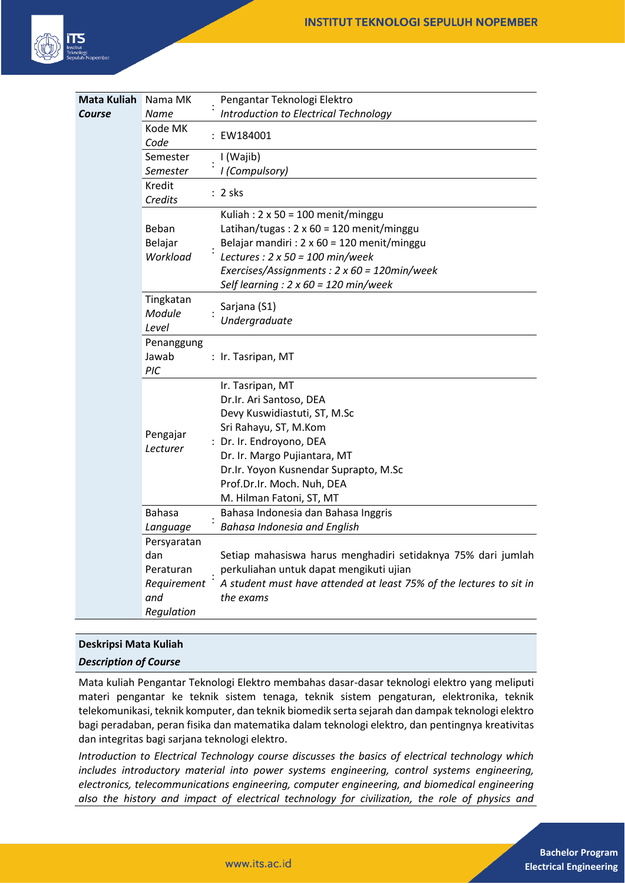

| Mata Kuliah | Nama MK                      | Pengantar Teknologi Elektro                                                                                                                                                                                                                                                          |
|-------------|------------------------------|--------------------------------------------------------------------------------------------------------------------------------------------------------------------------------------------------------------------------------------------------------------------------------------|
| Course      | Name                         | Introduction to Electrical Technology                                                                                                                                                                                                                                                |
|             | Kode MK<br>Code              | : EW184001                                                                                                                                                                                                                                                                           |
|             | Semester<br>Semester         | I (Wajib)<br>I (Compulsory)                                                                                                                                                                                                                                                          |
|             | <b>Kredit</b><br>Credits     | $: 2$ sks                                                                                                                                                                                                                                                                            |
|             | Beban<br>Belajar<br>Workload | Kuliah: $2 \times 50 = 100$ menit/minggu<br>Latihan/tugas: $2 \times 60 = 120$ menit/minggu<br>Belajar mandiri : 2 x 60 = 120 menit/minggu<br>Lectures : $2 \times 50 = 100$ min/week<br>Exercises/Assignments: 2 x 60 = 120min/week<br>Self learning : $2 \times 60 = 120$ min/week |
|             | Tingkatan<br>Module<br>Level | Sarjana (S1)<br>Undergraduate                                                                                                                                                                                                                                                        |
|             | Penanggung<br>Jawab<br>PIC   | : Ir. Tasripan, MT                                                                                                                                                                                                                                                                   |
|             | Pengajar<br>Lecturer         | Ir. Tasripan, MT<br>Dr.Ir. Ari Santoso, DEA<br>Devy Kuswidiastuti, ST, M.Sc<br>Sri Rahayu, ST, M.Kom<br>: Dr. Ir. Endroyono, DEA<br>Dr. Ir. Margo Pujiantara, MT<br>Dr.Ir. Yoyon Kusnendar Suprapto, M.Sc<br>Prof.Dr.Ir. Moch. Nuh, DEA<br>M. Hilman Fatoni, ST, MT                  |
|             | <b>Bahasa</b>                | Bahasa Indonesia dan Bahasa Inggris                                                                                                                                                                                                                                                  |
|             | Language                     | Bahasa Indonesia and English                                                                                                                                                                                                                                                         |
|             | Persyaratan                  |                                                                                                                                                                                                                                                                                      |
|             | dan                          | Setiap mahasiswa harus menghadiri setidaknya 75% dari jumlah                                                                                                                                                                                                                         |
|             | Peraturan                    | perkuliahan untuk dapat mengikuti ujian                                                                                                                                                                                                                                              |
|             | Requirement                  | A student must have attended at least 75% of the lectures to sit in                                                                                                                                                                                                                  |
|             | and                          | the exams                                                                                                                                                                                                                                                                            |
|             | Regulation                   |                                                                                                                                                                                                                                                                                      |

# **Deskripsi Mata Kuliah**

*Description of Course*

Mata kuliah Pengantar Teknologi Elektro membahas dasar-dasar teknologi elektro yang meliputi materi pengantar ke teknik sistem tenaga, teknik sistem pengaturan, elektronika, teknik telekomunikasi, teknik komputer, dan teknik biomedik serta sejarah dan dampak teknologi elektro bagi peradaban, peran fisika dan matematika dalam teknologi elektro, dan pentingnya kreativitas dan integritas bagi sarjana teknologi elektro.

*Introduction to Electrical Technology course discusses the basics of electrical technology which includes introductory material into power systems engineering, control systems engineering, electronics, telecommunications engineering, computer engineering, and biomedical engineering also the history and impact of electrical technology for civilization, the role of physics and*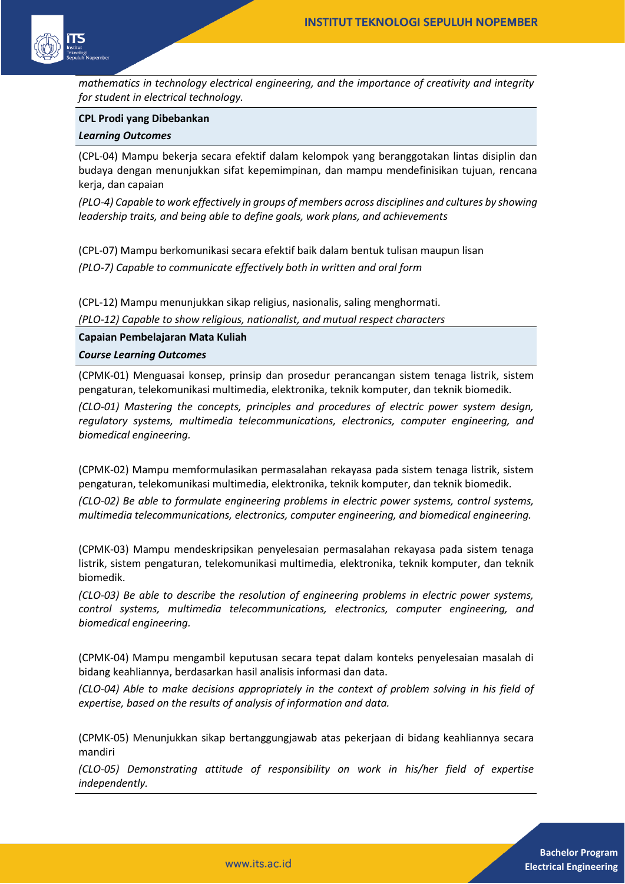

*mathematics in technology electrical engineering, and the importance of creativity and integrity for student in electrical technology.*

#### **CPL Prodi yang Dibebankan**

#### *Learning Outcomes*

(CPL-04) Mampu bekerja secara efektif dalam kelompok yang beranggotakan lintas disiplin dan budaya dengan menunjukkan sifat kepemimpinan, dan mampu mendefinisikan tujuan, rencana kerja, dan capaian

*(PLO-4) Capable to work effectively in groups of members across disciplines and cultures by showing leadership traits, and being able to define goals, work plans, and achievements*

(CPL-07) Mampu berkomunikasi secara efektif baik dalam bentuk tulisan maupun lisan *(PLO-7) Capable to communicate effectively both in written and oral form* 

(CPL-12) Mampu menunjukkan sikap religius, nasionalis, saling menghormati.

*(PLO-12) Capable to show religious, nationalist, and mutual respect characters* 

**Capaian Pembelajaran Mata Kuliah** *Course Learning Outcomes*

(CPMK-01) Menguasai konsep, prinsip dan prosedur perancangan sistem tenaga listrik, sistem pengaturan, telekomunikasi multimedia, elektronika, teknik komputer, dan teknik biomedik.

*(CLO-01) Mastering the concepts, principles and procedures of electric power system design, regulatory systems, multimedia telecommunications, electronics, computer engineering, and biomedical engineering.*

(CPMK-02) Mampu memformulasikan permasalahan rekayasa pada sistem tenaga listrik, sistem pengaturan, telekomunikasi multimedia, elektronika, teknik komputer, dan teknik biomedik.

*(CLO-02) Be able to formulate engineering problems in electric power systems, control systems, multimedia telecommunications, electronics, computer engineering, and biomedical engineering.*

(CPMK-03) Mampu mendeskripsikan penyelesaian permasalahan rekayasa pada sistem tenaga listrik, sistem pengaturan, telekomunikasi multimedia, elektronika, teknik komputer, dan teknik biomedik.

*(CLO-03) Be able to describe the resolution of engineering problems in electric power systems, control systems, multimedia telecommunications, electronics, computer engineering, and biomedical engineering.*

(CPMK-04) Mampu mengambil keputusan secara tepat dalam konteks penyelesaian masalah di bidang keahliannya, berdasarkan hasil analisis informasi dan data.

*(CLO-04) Able to make decisions appropriately in the context of problem solving in his field of expertise, based on the results of analysis of information and data.*

(CPMK-05) Menunjukkan sikap bertanggungjawab atas pekerjaan di bidang keahliannya secara mandiri

*(CLO-05) Demonstrating attitude of responsibility on work in his/her field of expertise independently.*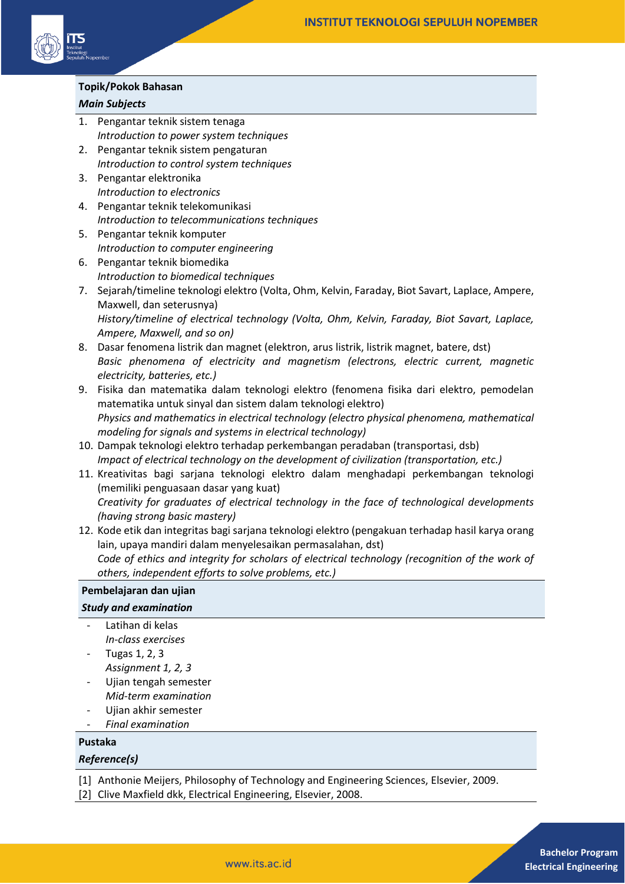

## **Topik/Pokok Bahasan**

## *Main Subjects*

- 1. Pengantar teknik sistem tenaga *Introduction to power system techniques*
- 2. Pengantar teknik sistem pengaturan *Introduction to control system techniques*
- 3. Pengantar elektronika *Introduction to electronics*
- 4. Pengantar teknik telekomunikasi *Introduction to telecommunications techniques*
- 5. Pengantar teknik komputer *Introduction to computer engineering*
- 6. Pengantar teknik biomedika *Introduction to biomedical techniques*
- 7. Sejarah/timeline teknologi elektro (Volta, Ohm, Kelvin, Faraday, Biot Savart, Laplace, Ampere, Maxwell, dan seterusnya) *History/timeline of electrical technology (Volta, Ohm, Kelvin, Faraday, Biot Savart, Laplace, Ampere, Maxwell, and so on)*
- 8. Dasar fenomena listrik dan magnet (elektron, arus listrik, listrik magnet, batere, dst) *Basic phenomena of electricity and magnetism (electrons, electric current, magnetic electricity, batteries, etc.)*
- 9. Fisika dan matematika dalam teknologi elektro (fenomena fisika dari elektro, pemodelan matematika untuk sinyal dan sistem dalam teknologi elektro) *Physics and mathematics in electrical technology (electro physical phenomena, mathematical modeling for signals and systems in electrical technology)*
- 10. Dampak teknologi elektro terhadap perkembangan peradaban (transportasi, dsb) *Impact of electrical technology on the development of civilization (transportation, etc.)*
- 11. Kreativitas bagi sarjana teknologi elektro dalam menghadapi perkembangan teknologi (memiliki penguasaan dasar yang kuat) *Creativity for graduates of electrical technology in the face of technological developments (having strong basic mastery)*
- 12. Kode etik dan integritas bagi sarjana teknologi elektro (pengakuan terhadap hasil karya orang lain, upaya mandiri dalam menyelesaikan permasalahan, dst) *Code of ethics and integrity for scholars of electrical technology (recognition of the work of others, independent efforts to solve problems, etc.)*

#### **Pembelajaran dan ujian**

# *Study and examination*

- Latihan di kelas *In-class exercises*
- Tugas 1, 2, 3 *Assignment 1, 2, 3*
- Ujian tengah semester *Mid-term examination*
- Ujian akhir semester
- *Final examination*

# **Pustaka**

# *Reference(s)*

[1] Anthonie Meijers, Philosophy of Technology and Engineering Sciences, Elsevier, 2009.

[2] Clive Maxfield dkk, Electrical Engineering, Elsevier, 2008.